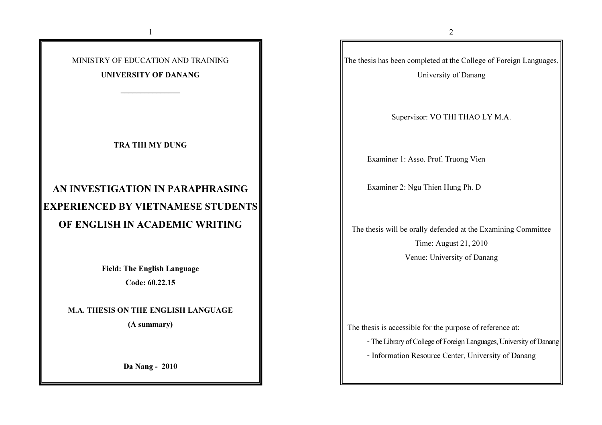

1

#### UNIVERSITY OF DANANG

\_\_\_\_\_\_\_\_\_\_\_\_\_\_\_

TRA THI MY DUNG

# AN INVESTIGATION IN PARAPHRASING EXPERIENCED BY VIETNAMESE STUDENTS OF ENGLISH IN ACADEMIC WRITING

Field: The English Language

Code: 60.22.15

M.A. THESIS ON THE ENGLISH LANGUAGE

(A summary)

Da Nang - 2010

The thesis has been completed at the College of Foreign Languages, University of Danang

Supervisor: VO THI THAO LY M.A.

Examiner 1: Asso. Prof. Truong Vien

Examiner 2: Ngu Thien Hung Ph. D

The thesis will be orally defended at the Examining Committee

Time: August 21, 2010

Venue: University of Danang

The thesis is accessible for the purpose of reference at:

- The Library of College of Foreign Languages, University of Danang

- Information Resource Center, University of Danang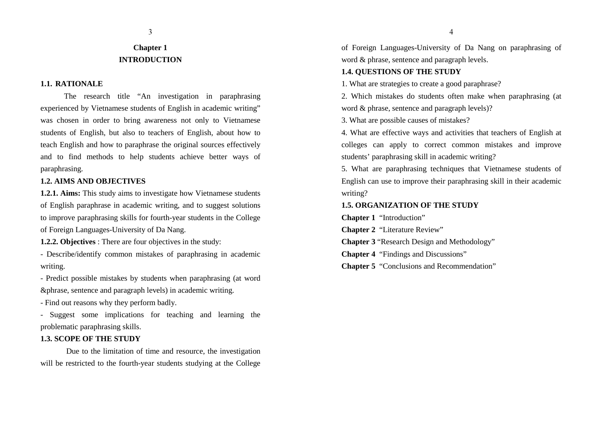#### 3

## **Chapter 1 INTRODUCTION**

#### **1.1. RATIONALE**

The research title "An investigation in paraphrasing experienced by Vietnamese students of English in academic writing" was chosen in order to bring awareness not only to Vietnamese students of English, but also to teachers of English, about how to teach English and how to paraphrase the original sources effectively and to find methods to help students achieve better ways of paraphrasing.

#### **1.2. AIMS AND OBJECTIVES**

**1.2.1. Aims:** This study aims to investigate how Vietnamese students of English paraphrase in academic writing, and to suggest solutions to improve paraphrasing skills for fourth-year students in the College of Foreign Languages-University of Da Nang.

**1.2.2. Objectives** : There are four objectives in the study:

- Describe/identify common mistakes of paraphrasing in academic writing.

- Predict possible mistakes by students when paraphrasing (at word &phrase, sentence and paragraph levels) in academic writing.

- Find out reasons why they perform badly.

- Suggest some implications for teaching and learning the problematic paraphrasing skills.

#### **1.3. SCOPE OF THE STUDY**

 Due to the limitation of time and resource, the investigation will be restricted to the fourth-year students studying at the College

of Foreign Languages-University of Da Nang on paraphrasing of word & phrase, sentence and paragraph levels.

#### **1.4. QUESTIONS OF THE STUDY**

1. What are strategies to create a good paraphrase?

2. Which mistakes do students often make when paraphrasing (at word & phrase, sentence and paragraph levels)?

3. What are possible causes of mistakes?

4. What are effective ways and activities that teachers of English at colleges can apply to correct common mistakes and improve students' paraphrasing skill in academic writing?

5. What are paraphrasing techniques that Vietnamese students of English can use to improve their paraphrasing skill in their academic writing?

#### **1.5. ORGANIZATION OF THE STUDY**

**Chapter 1** "Introduction"

**Chapter 2** "Literature Review"

**Chapter 3** "Research Design and Methodology"

**Chapter 4** "Findings and Discussions"

**Chapter 5** "Conclusions and Recommendation"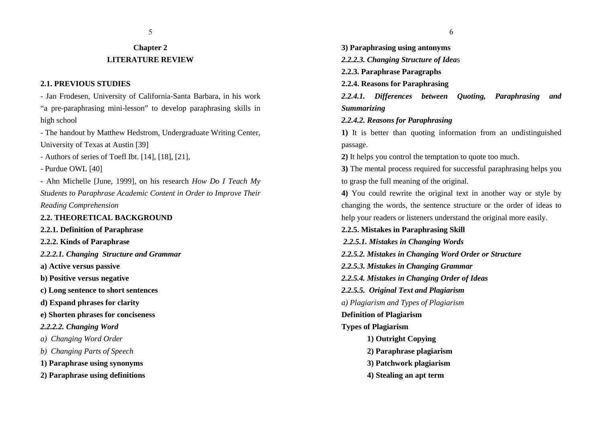## **Chapter 2LITERATURE REVIEW**

#### **2.1. PREVIOUS STUDIES**

- Jan Frodesen, University of California-Santa Barbara, in his work "a pre-paraphrasing mini-lesson" to develop paraphrasing skills in high school

- The handout by Matthew Hedstrom, Undergraduate Writing Center, University of Texas at Austin [39]

- Authors of series of Toefl Ibt. [14], [18], [21],

- Purdue OWL [40]

**-** Ahn Michelle [June, 1999], on his research *How Do I Teach My Students to Paraphrase Academic Content in Order to Improve Their Reading Comprehension*

**2.2. THEORETICAL BACKGROUND** 

**2.2.1. Definition of Paraphrase**

**2.2.2. Kinds of Paraphrase**

*2.2.2.1. Changing Structure and Grammar*

**a) Active versus passive** 

**b) Positive versus negative** 

**c) Long sentence to short sentences** 

**d) Expand phrases for clarity** 

**e) Shorten phrases for conciseness** 

*2.2.2.2. Changing Word*

*a) Changing Word Order*

*b) Changing Parts of Speech* 

**1) Paraphrase using synonyms** 

**2) Paraphrase using definitions** 

**3) Paraphrasing using antonyms**  *2.2.2.3. Changing Structure of Idea*<sup>s</sup> **2.2.3. Paraphrase Paragraphs2.2.4. Reasons for Paraphrasing***2.2.4.1. Differences between Quoting, Paraphrasing and Summarizing2.2.4.2. Reasons for Paraphrasing***1)** It is better than quoting information from an undistinguished passage. **2)** It helps you control the temptation to quote too much. **3)** The mental process required for successful paraphrasing helps you to grasp the full meaning of the original. **4)** You could rewrite the original text in another way or style by changing the words, the sentence structure or the order of ideas to help your readers or listeners understand the original more easily. **2.2.5. Mistakes in Paraphrasing Skill**  *2.2.5.1. Mistakes in Changing Words2.2.5.2. Mistakes in Changing Word Order or Structure2.2.5.3. Mistakes in Changing Grammar2.2.5.4. Mistakes in Changing Order of Ideas2.2.5.5. Original Text and Plagiarism a) Plagiarism and Types of Plagiarism***Definition of Plagiarism Types of Plagiarism 1) Outright Copying2) Paraphrase plagiarism3) Patchwork plagiarism**

**4) Stealing an apt term**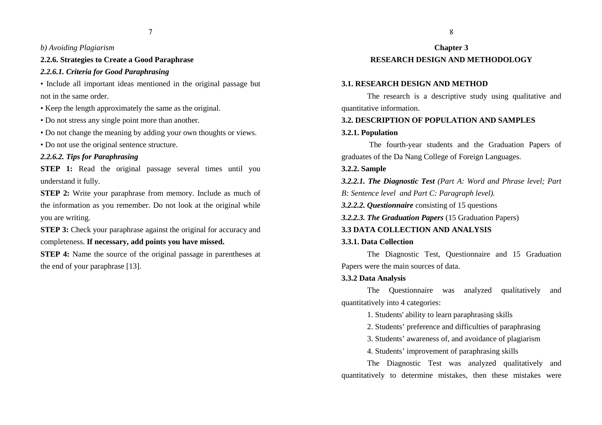#### *b) Avoiding Plagiarism*

#### **2.2.6. Strategies to Create a Good Paraphrase**

#### *2.2.6.1. Criteria for Good Paraphrasing*

• Include all important ideas mentioned in the original passage but not in the same order.

- Keep the length approximately the same as the original.
- Do not stress any single point more than another.
- Do not change the meaning by adding your own thoughts or views.
- Do not use the original sentence structure.

#### *2.2.6.2. Tips for Paraphrasing*

**STEP 1:** Read the original passage several times until you understand it fully.

**STEP 2:** Write your paraphrase from memory. Include as much of the information as you remember. Do not look at the original while you are writing.

**STEP 3:** Check your paraphrase against the original for accuracy and completeness. **If necessary, add points you have missed.** 

**STEP 4:** Name the source of the original passage in parentheses at the end of your paraphrase [13].

## **Chapter 3 RESEARCH DESIGN AND METHODOLOGY**

#### **3.1. RESEARCH DESIGN AND METHOD**

 The research is a descriptive study using qualitative and quantitative information.

#### **3.2. DESCRIPTION OF POPULATION AND SAMPLES**

#### **3.2.1. Population**

The fourth-year students and the Graduation Papers of graduates of the Da Nang College of Foreign Languages.

#### **3.2.2. Sample**

*3.2.2.1. The Diagnostic Test (Part A: Word and Phrase level; Part B: Sentence level and Part C: Paragraph level).* 

*3.2.2.2. Questionnaire* consisting of 15 questions

*3.2.2.3. The Graduation Papers* (15 Graduation Papers)

## **3.3 DATA COLLECTION AND ANALYSIS**

#### **3.3.1. Data Collection**

 The Diagnostic Test, Questionnaire and 15 Graduation Papers were the main sources of data.

## **3.3.2 Data Analysis**

The Questionnaire was analyzed qualitatively and quantitatively into 4 categories:

1. Students' ability to learn paraphrasing skills

2. Students' preference and difficulties of paraphrasing

3. Students' awareness of, and avoidance of plagiarism

4. Students' improvement of paraphrasing skills

The Diagnostic Test was analyzed qualitatively and quantitatively to determine mistakes, then these mistakes were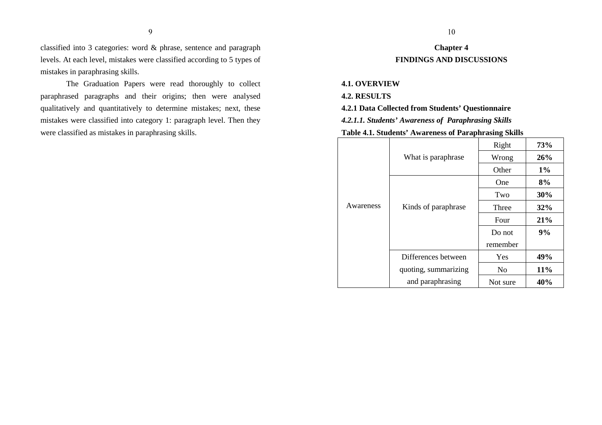classified into 3 categories: word & phrase, sentence and paragraph levels. At each level, mistakes were classified according to 5 types of mistakes in paraphrasing skills.

The Graduation Papers were read thoroughly to collect paraphrased paragraphs and their origins; then were analysed qualitatively and quantitatively to determine mistakes; next, these mistakes were classified into category 1: paragraph level. Then they were classified as mistakes in paraphrasing skills.

## **Chapter 4 FINDINGS AND DISCUSSIONS**

#### **4.1. OVERVIEW**

#### **4.2. RESULTS**

**4.2.1 Data Collected from Students' Questionnaire**

*4.2.1.1. Students' Awareness of Paraphrasing Skills*

#### **Table 4.1. Students' Awareness of Paraphrasing Skills**

|           |                      | Right          | 73%   |
|-----------|----------------------|----------------|-------|
|           | What is paraphrase   | Wrong          | 26%   |
|           |                      | Other          | $1\%$ |
|           |                      | One            | 8%    |
|           |                      | Two            | 30%   |
| Awareness | Kinds of paraphrase  | Three          | 32%   |
|           |                      | Four           | 21%   |
|           |                      | Do not         | 9%    |
|           |                      | remember       |       |
|           | Differences between  | Yes            | 49%   |
|           | quoting, summarizing | N <sub>0</sub> | 11%   |
|           | and paraphrasing     | Not sure       | 40%   |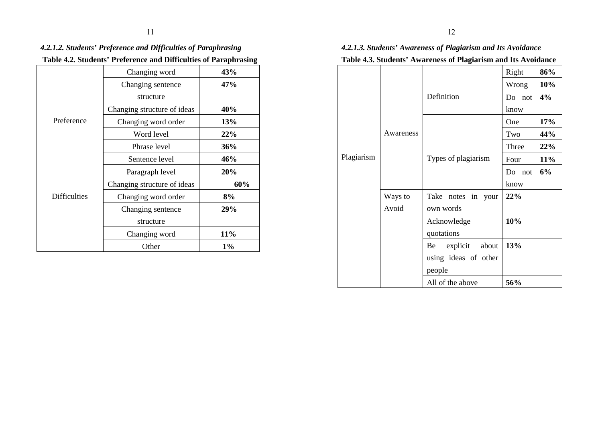## *4.2.1.2. Students' Preference and Difficulties of Paraphrasing***Table 4.2. Students' Preference and Difficulties of Paraphrasing**

|                     |                             | 0     |
|---------------------|-----------------------------|-------|
|                     | Changing word               | 43%   |
|                     | Changing sentence           | 47%   |
|                     | structure                   |       |
|                     | Changing structure of ideas | 40%   |
| Preference          | Changing word order         | 13%   |
|                     | Word level                  | 22%   |
|                     | Phrase level                | 36%   |
|                     | Sentence level              | 46%   |
|                     | Paragraph level             | 20%   |
|                     | Changing structure of ideas | 60%   |
| <b>Difficulties</b> | Changing word order         | 8%    |
|                     | Changing sentence           | 29%   |
|                     | structure                   |       |
|                     | Changing word               | 11%   |
|                     | Other                       | $1\%$ |

## *4.2.1.3. Students' Awareness of Plagiarism and Its Avoidance*  **Table 4.3. Students' Awareness of Plagiarism and Its Avoidance**

|            |           |                          | Right     | 86% |
|------------|-----------|--------------------------|-----------|-----|
|            |           |                          | Wrong     | 10% |
|            |           | Definition               | Do not    | 4%  |
|            |           |                          | know      |     |
|            |           |                          | One       | 17% |
|            | Awareness |                          | Two       | 44% |
|            |           |                          | Three     | 22% |
| Plagiarism |           | Types of plagiarism      | Four      | 11% |
|            |           |                          | Do<br>not | 6%  |
|            |           |                          | know      |     |
|            | Ways to   | Take<br>notes in<br>your | 22%       |     |
|            | Avoid     | own words                |           |     |
|            |           | Acknowledge              | 10%       |     |
|            |           | quotations               |           |     |
|            |           | explicit<br>about<br>Be  | 13%       |     |
|            |           | using ideas of other     |           |     |
|            |           | people                   |           |     |
|            |           | All of the above         | 56%       |     |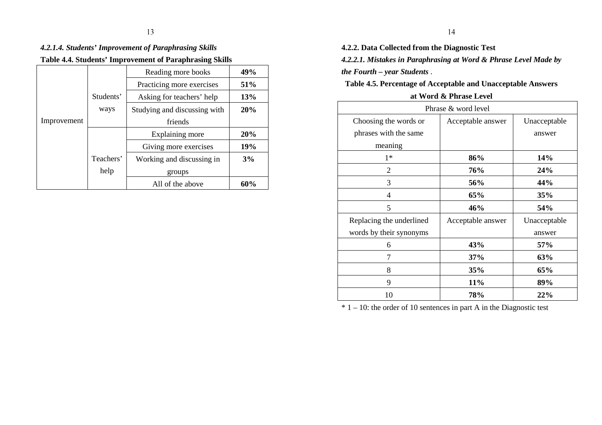## *4.2.1.4. Students' Improvement of Paraphrasing Skills*  **Table 4.4. Students' Improvement of Paraphrasing Skills**

|             |           | Reading more books           | 49%        |
|-------------|-----------|------------------------------|------------|
|             |           | Practicing more exercises    | <b>51%</b> |
|             | Students' | Asking for teachers' help    | 13%        |
|             | ways      | Studying and discussing with | 20%        |
| Improvement |           | friends                      |            |
|             |           | Explaining more              | 20%        |
|             |           | Giving more exercises        | <b>19%</b> |
|             | Teachers' | Working and discussing in    | 3%         |
|             | help      | groups                       |            |
|             |           | All of the above             | 60%        |

**4.2.2. Data Collected from the Diagnostic Test***4.2.2.1. Mistakes in Paraphrasing at Word & Phrase Level Made by the Fourth – year Students* .

**Table 4.5. Percentage of Acceptable and Unacceptable Answers at Word & Phrase Level** 

| Phrase & word level      |                   |              |  |
|--------------------------|-------------------|--------------|--|
| Choosing the words or    | Acceptable answer | Unacceptable |  |
| phrases with the same    |                   | answer       |  |
| meaning                  |                   |              |  |
| $1*$                     | 86%               | <b>14%</b>   |  |
| 2                        | 76%               | 24%          |  |
| 3                        | 56%               | 44%          |  |
| 4                        | 65%               | 35%          |  |
| 5                        | 46%               | 54%          |  |
| Replacing the underlined | Acceptable answer | Unacceptable |  |
| words by their synonyms  |                   | answer       |  |
| 6                        | 43%               | 57%          |  |
| 7                        | 37%               | 63%          |  |
| 8                        | 35%               | 65%          |  |
| 9                        | 11%               | 89%          |  |
| 10                       | 78%               | 22%          |  |

 $* 1 - 10$ : the order of 10 sentences in part A in the Diagnostic test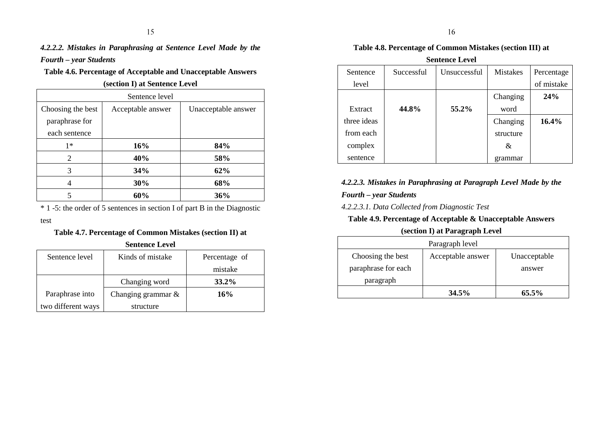## *4.2.2.2. Mistakes in Paraphrasing at Sentence Level Made by the Fourth – year Students*

## **Table 4.6. Percentage of Acceptable and Unacceptable Answers**

**(section I) at Sentence Level** 

| Sentence level    |                   |                     |  |  |
|-------------------|-------------------|---------------------|--|--|
| Choosing the best | Acceptable answer | Unacceptable answer |  |  |
| paraphrase for    |                   |                     |  |  |
| each sentence     |                   |                     |  |  |
| $1*$              | 16%               | 84%                 |  |  |
| $\overline{2}$    | 40%               | 58%                 |  |  |
| 3                 | 34%               | 62%                 |  |  |
| 4                 | 30%               | 68%                 |  |  |
| 5                 | 60%               | 36%                 |  |  |

\* 1 -5: the order of 5 sentences in section I of part B in the Diagnostic

test

## **Table 4.7. Percentage of Common Mistakes (section II) at**

| <b>Sentence Level</b> |                       |               |  |
|-----------------------|-----------------------|---------------|--|
| Sentence level        | Kinds of mistake      | Percentage of |  |
|                       |                       | mistake       |  |
|                       | Changing word         | 33.2%         |  |
| Paraphrase into       | Changing grammar $\&$ | 16%           |  |
| two different ways    | structure             |               |  |

## **Table 4.8. Percentage of Common Mistakes (section III) at**

| <b>Sentence Level</b> |            |              |                 |            |  |
|-----------------------|------------|--------------|-----------------|------------|--|
| Sentence              | Successful | Unsuccessful | <b>Mistakes</b> | Percentage |  |
| level                 |            |              |                 | of mistake |  |
|                       |            |              | Changing        | 24%        |  |
| Extract               | 44.8%      | 55.2%        | word            |            |  |
| three ideas           |            |              | Changing        | 16.4%      |  |
| from each             |            |              | structure       |            |  |
| complex               |            |              | &               |            |  |
| sentence              |            |              | grammar         |            |  |

## *4.2.2.3. Mistakes in Paraphrasing at Paragraph Level Made by the Fourth – year Students*

*4.2.2.3.1. Data Collected from Diagnostic Test* 

## **Table 4.9. Percentage of Acceptable & Unacceptable Answers**

## **(section I) at Paragraph Level**

| Paragraph level     |                   |              |  |
|---------------------|-------------------|--------------|--|
| Choosing the best   | Acceptable answer | Unacceptable |  |
| paraphrase for each |                   | answer       |  |
| paragraph           |                   |              |  |
|                     | $34.5\%$          | $65.5\%$     |  |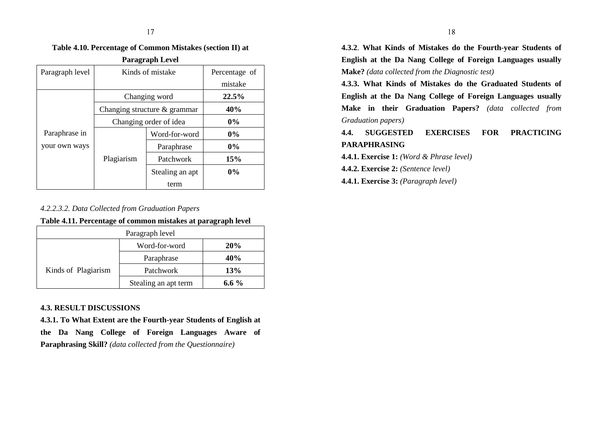**Table 4.10. Percentage of Common Mistakes (section II) at** 

| <b>Paragraph Level</b> |                              |                 |               |  |
|------------------------|------------------------------|-----------------|---------------|--|
| Paragraph level        | Kinds of mistake             |                 | Percentage of |  |
|                        |                              |                 | mistake       |  |
|                        |                              | Changing word   | 22.5%         |  |
|                        | Changing structure & grammar |                 | 40%           |  |
|                        | Changing order of idea       |                 | $0\%$         |  |
| Paraphrase in          |                              | Word-for-word   | $0\%$         |  |
| your own ways          |                              | Paraphrase      | $0\%$         |  |
|                        | Plagiarism                   | Patchwork       | 15%           |  |
|                        |                              | Stealing an apt | $0\%$         |  |
|                        |                              | term            |               |  |

### *4.2.2.3.2. Data Collected from Graduation Papers*

**Table 4.11. Percentage of common mistakes at paragraph level** 

| Paragraph level     |                      |            |  |
|---------------------|----------------------|------------|--|
|                     | Word-for-word        | <b>20%</b> |  |
|                     | Paraphrase           | 40%        |  |
| Kinds of Plagiarism | Patchwork            | <b>13%</b> |  |
|                     | Stealing an apt term | 6.6 $%$    |  |

#### **4.3. RESULT DISCUSSIONS**

 **4.3.1. To What Extent are the Fourth-year Students of English at the Da Nang College of Foreign Languages Aware of Paraphrasing Skill?** *(data collected from the Questionnaire)* 

**4.3.2**. **What Kinds of Mistakes do the Fourth-year Students of English at the Da Nang College of Foreign Languages usually Make?** *(data collected from the Diagnostic test)* 

**4.3.3. What Kinds of Mistakes do the Graduated Students ofEnglish at the Da Nang College of Foreign Languages usually Make in their Graduation Papers?** *(data collected from Graduation papers)* 

## **4.4. SUGGESTED EXERCISES FOR PRACTICING PARAPHRASING**

**4.4.1. Exercise 1:** *(Word & Phrase level)* 

**4.4.2. Exercise 2:** *(Sentence level)* 

**4.4.1. Exercise 3:** *(Paragraph level)*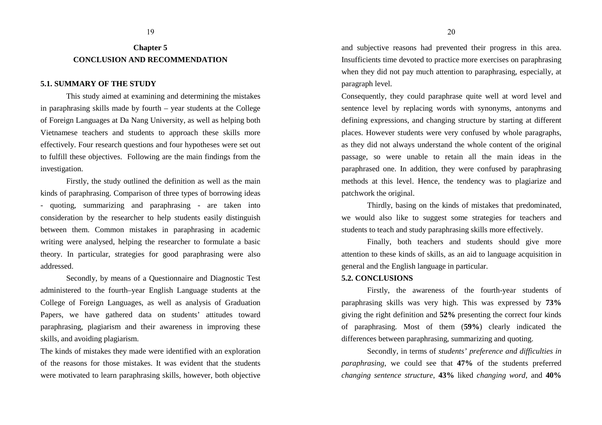## **Chapter 5 CONCLUSION AND RECOMMENDATION**

#### **5.1. SUMMARY OF THE STUDY**

 This study aimed at examining and determining the mistakes in paraphrasing skills made by fourth – year students at the College of Foreign Languages at Da Nang University, as well as helping both Vietnamese teachers and students to approach these skills more effectively. Four research questions and four hypotheses were set out to fulfill these objectives. Following are the main findings from the investigation.

 Firstly, the study outlined the definition as well as the main kinds of paraphrasing. Comparison of three types of borrowing ideas - quoting, summarizing and paraphrasing - are taken into consideration by the researcher to help students easily distinguish between them. Common mistakes in paraphrasing in academic writing were analysed, helping the researcher to formulate a basic theory. In particular, strategies for good paraphrasing were also addressed.

 Secondly, by means of a Questionnaire and Diagnostic Test administered to the fourth–year English Language students at the College of Foreign Languages, as well as analysis of Graduation Papers, we have gathered data on students' attitudes toward paraphrasing, plagiarism and their awareness in improving these skills, and avoiding plagiarism.

The kinds of mistakes they made were identified with an exploration of the reasons for those mistakes. It was evident that the students were motivated to learn paraphrasing skills, however, both objective

and subjective reasons had prevented their progress in this area. Insufficients time devoted to practice more exercises on paraphrasing when they did not pay much attention to paraphrasing, especially, at paragraph level.

Consequently, they could paraphrase quite well at word level and sentence level by replacing words with synonyms, antonyms and defining expressions, and changing structure by starting at different places. However students were very confused by whole paragraphs, as they did not always understand the whole content of the original passage, so were unable to retain all the main ideas in the paraphrased one. In addition, they were confused by paraphrasing methods at this level. Hence, the tendency was to plagiarize and patchwork the original.

 Thirdly, basing on the kinds of mistakes that predominated, we would also like to suggest some strategies for teachers and students to teach and study paraphrasing skills more effectively.

 Finally, both teachers and students should give more attention to these kinds of skills, as an aid to language acquisition in general and the English language in particular.

#### **5.2. CONCLUSIONS**

Firstly, the awareness of the fourth-year students of paraphrasing skills was very high. This was expressed by **73%** giving the right definition and **52%** presenting the correct four kinds of paraphrasing. Most of them (**59%**) clearly indicated the differences between paraphrasing, summarizing and quoting.

Secondly, in terms of *students' preference and difficulties in paraphrasing*, we could see that **47%** of the students preferred *changing sentence structure*, **43%** liked *changing word*, and **40%**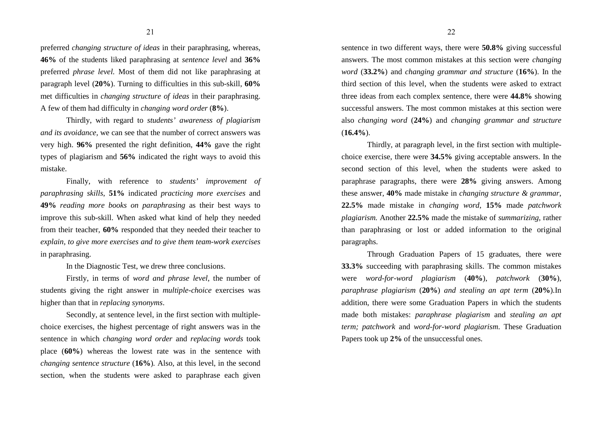preferred *changing structure of ideas* in their paraphrasing, whereas, **46%** of the students liked paraphrasing at *sentence level* and **36%** preferred *phrase level.* Most of them did not like paraphrasing at paragraph level (**20%**). Turning to difficulties in this sub-skill, **60%** met difficulties in *changing structure of ideas* in their paraphrasing. A few of them had difficulty in *changing word order* (**8%**).

Thirdly, with regard to *students' awareness of plagiarism and its avoidance,* we can see that the number of correct answers was very high. **96%** presented the right definition, **44%** gave the right types of plagiarism and **56%** indicated the right ways to avoid this mistake.

Finally, with reference to *students' improvement of paraphrasing skills*, **51%** indicated *practicing more exercises* and **49%** *reading more books on paraphrasing* as their best ways to improve this sub-skill. When asked what kind of help they needed from their teacher, **60%** responded that they needed their teacher to *explain, to give more exercises and to give them team-work exercises* in paraphrasing.

In the Diagnostic Test, we drew three conclusions.

 Firstly, in terms of *word and phrase level*, the number of students giving the right answer in *multiple-choice* exercises was higher than that in *replacing synonyms*.

 Secondly, at sentence level, in the first section with multiplechoice exercises, the highest percentage of right answers was in the sentence in which *changing word order* and *replacing words* took place (**60%**) whereas the lowest rate was in the sentence with *changing sentence structure* (**16%**)*.* Also, at this level, in the second section, when the students were asked to paraphrase each given sentence in two different ways, there were **50.8%** giving successful answers. The most common mistakes at this section were *changing word* (**33.2%**) and *changing grammar and structure* (**16%**). In the third section of this level, when the students were asked to extract three ideas from each complex sentence, there were **44.8%** showing successful answers. The most common mistakes at this section were also *changing word* (**24%**) and *changing grammar and structure* (**16.4%**).

Thirdly, at paragraph level, in the first section with multiplechoice exercise, there were **34.5%** giving acceptable answers. In the second section of this level, when the students were asked to paraphrase paragraphs, there were **28%** giving answers. Among these answer, **40%** made mistake in *changing structure & grammar*, **22.5%** made mistake in *changing word*, **15%** made *patchwork plagiarism.* Another **22.5%** made the mistake of *summarizing,* rather than paraphrasing or lost or added information to the original paragraphs.

Through Graduation Papers of 15 graduates, there were **33.3%** succeeding with paraphrasing skills. The common mistakes were *word-for-word plagiarism* (**40%**), *patchwork* (**30%**)*, paraphrase plagiarism* (**20%**) *and stealing an apt term* (**20%**)*.*In addition, there were some Graduation Papers in which the students made both mistakes: *paraphrase plagiarism* and *stealing an apt term; patchwork* and *word-for-word plagiarism*. These Graduation Papers took up **2%** of the unsuccessful ones.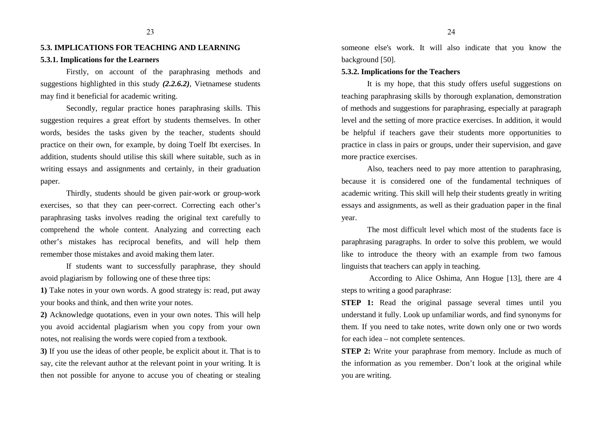## **5.3. IMPLICATIONS FOR TEACHING AND LEARNING5.3.1. Implications for the Learners**

Firstly, on account of the paraphrasing methods andsuggestions highlighted in this study *(2.2.6.2),* Vietnamese students may find it beneficial for academic writing.

Secondly, regular practice hones paraphrasing skills. This suggestion requires a great effort by students themselves. In other words, besides the tasks given by the teacher, students should practice on their own, for example, by doing Toelf Ibt exercises. In addition, students should utilise this skill where suitable, such as in writing essays and assignments and certainly, in their graduation paper.

Thirdly, students should be given pair-work or group-work exercises, so that they can peer-correct. Correcting each other's paraphrasing tasks involves reading the original text carefully to comprehend the whole content. Analyzing and correcting each other's mistakes has reciprocal benefits, and will help them remember those mistakes and avoid making them later.

If students want to successfully paraphrase, they should avoid plagiarism by following one of these three tips:

**1)** Take notes in your own words. A good strategy is: read, put away your books and think, and then write your notes.

**2)** Acknowledge quotations, even in your own notes. This will help you avoid accidental plagiarism when you copy from your own notes, not realising the words were copied from a textbook.

**3)** If you use the ideas of other people, be explicit about it. That is to say, cite the relevant author at the relevant point in your writing. It is then not possible for anyone to accuse you of cheating or stealing

someone else's work. It will also indicate that you know the background [50].

#### **5.3.2. Implications for the Teachers**

It is my hope, that this study offers useful suggestions on teaching paraphrasing skills by thorough explanation, demonstration of methods and suggestions for paraphrasing, especially at paragraph level and the setting of more practice exercises. In addition, it would be helpful if teachers gave their students more opportunities to practice in class in pairs or groups, under their supervision, and gave more practice exercises.

Also, teachers need to pay more attention to paraphrasing, because it is considered one of the fundamental techniques of academic writing. This skill will help their students greatly in writing essays and assignments, as well as their graduation paper in the final year.

The most difficult level which most of the students face is paraphrasing paragraphs. In order to solve this problem, we would like to introduce the theory with an example from two famous linguists that teachers can apply in teaching.

 According to Alice Oshima, Ann Hogue [13], there are 4 steps to writing a good paraphrase:

**STEP 1:** Read the original passage several times until you understand it fully. Look up unfamiliar words, and find synonyms for them. If you need to take notes, write down only one or two words for each idea – not complete sentences.

**STEP 2:** Write your paraphrase from memory. Include as much of the information as you remember. Don't look at the original while you are writing.